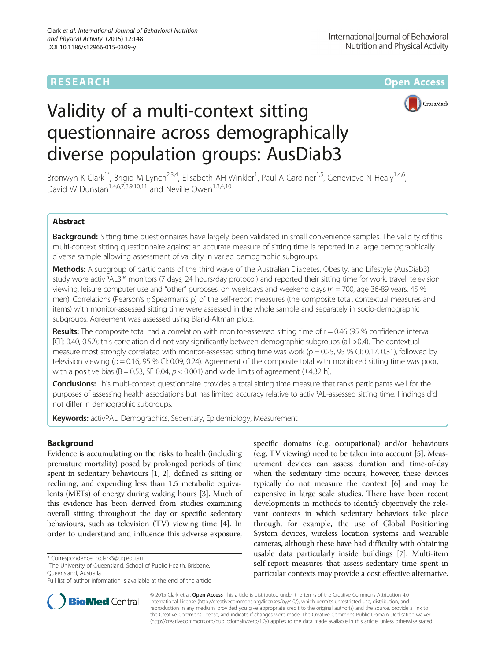## **RESEARCH CHE CHE Open Access**



# Validity of a multi-context sitting questionnaire across demographically diverse population groups: AusDiab3

Bronwyn K Clark<sup>1\*</sup>, Brigid M Lynch<sup>2,3,4</sup>, Elisabeth AH Winkler<sup>1</sup>, Paul A Gardiner<sup>1,5</sup>, Genevieve N Healy<sup>1,4,6</sup>, David W Dunstan<sup>1,4,6,7,8,9,10,11</sup> and Neville Owen<sup>1,3,4,10</sup>

### Abstract

Background: Sitting time questionnaires have largely been validated in small convenience samples. The validity of this multi-context sitting questionnaire against an accurate measure of sitting time is reported in a large demographically diverse sample allowing assessment of validity in varied demographic subgroups.

Methods: A subgroup of participants of the third wave of the Australian Diabetes, Obesity, and Lifestyle (AusDiab3) study wore activPAL3™ monitors (7 days, 24 hours/day protocol) and reported their sitting time for work, travel, television viewing, leisure computer use and "other" purposes, on weekdays and weekend days ( $n = 700$ , age 36-89 years, 45 % men). Correlations (Pearson's r; Spearman's ρ) of the self-report measures (the composite total, contextual measures and items) with monitor-assessed sitting time were assessed in the whole sample and separately in socio-demographic subgroups. Agreement was assessed using Bland-Altman plots.

**Results:** The composite total had a correlation with monitor-assessed sitting time of  $r = 0.46$  (95 % confidence interval [CI]: 0.40, 0.52); this correlation did not vary significantly between demographic subgroups (all >0.4). The contextual measure most strongly correlated with monitor-assessed sitting time was work ( $\rho$  = 0.25, 95 % CI: 0.17, 0.31), followed by television viewing ( $\rho = 0.16$ , 95 % CI: 0.09, 0.24). Agreement of the composite total with monitored sitting time was poor, with a positive bias ( $B = 0.53$ , SE 0.04,  $p < 0.001$ ) and wide limits of agreement ( $\pm$ 4.32 h).

Conclusions: This multi-context questionnaire provides a total sitting time measure that ranks participants well for the purposes of assessing health associations but has limited accuracy relative to activPAL-assessed sitting time. Findings did not differ in demographic subgroups.

Keywords: activPAL, Demographics, Sedentary, Epidemiology, Measurement

#### Background

Evidence is accumulating on the risks to health (including premature mortality) posed by prolonged periods of time spent in sedentary behaviours [[1, 2](#page-7-0)], defined as sitting or reclining, and expending less than 1.5 metabolic equivalents (METs) of energy during waking hours [[3](#page-8-0)]. Much of this evidence has been derived from studies examining overall sitting throughout the day or specific sedentary behaviours, such as television (TV) viewing time [[4\]](#page-8-0). In order to understand and influence this adverse exposure,

**BioMed** Central

Full list of author information is available at the end of the article



© 2015 Clark et al. Open Access This article is distributed under the terms of the Creative Commons Attribution 4.0 International License [\(http://creativecommons.org/licenses/by/4.0/](http://creativecommons.org/licenses/by/4.0/)), which permits unrestricted use, distribution, and reproduction in any medium, provided you give appropriate credit to the original author(s) and the source, provide a link to the Creative Commons license, and indicate if changes were made. The Creative Commons Public Domain Dedication waiver [\(http://creativecommons.org/publicdomain/zero/1.0/](http://creativecommons.org/publicdomain/zero/1.0/)) applies to the data made available in this article, unless otherwise stated.

<sup>\*</sup> Correspondence: [b.clark3@uq.edu.au](mailto:b.clark3@uq.edu.au) <sup>1</sup>

<sup>&</sup>lt;sup>1</sup>The University of Queensland, School of Public Health, Brisbane, Queensland, Australia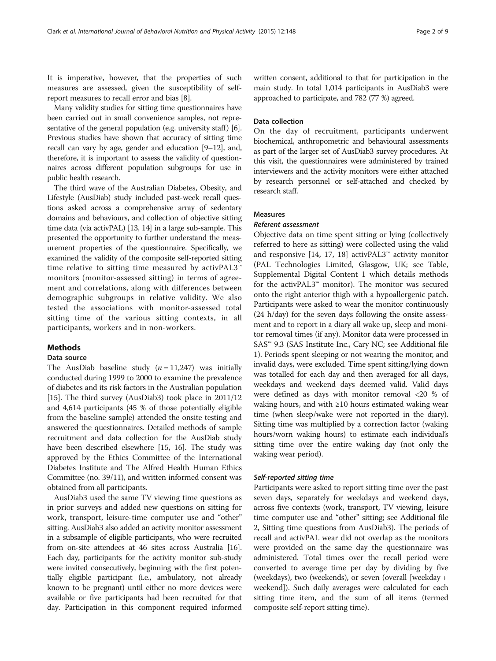It is imperative, however, that the properties of such measures are assessed, given the susceptibility of selfreport measures to recall error and bias [\[8](#page-8-0)].

Many validity studies for sitting time questionnaires have been carried out in small convenience samples, not representative of the general population (e.g. university staff)  $[6]$  $[6]$  $[6]$ . Previous studies have shown that accuracy of sitting time recall can vary by age, gender and education [\[9](#page-8-0)–[12](#page-8-0)], and, therefore, it is important to assess the validity of questionnaires across different population subgroups for use in public health research.

The third wave of the Australian Diabetes, Obesity, and Lifestyle (AusDiab) study included past-week recall questions asked across a comprehensive array of sedentary domains and behaviours, and collection of objective sitting time data (via activPAL) [\[13, 14\]](#page-8-0) in a large sub-sample. This presented the opportunity to further understand the measurement properties of the questionnaire. Specifically, we examined the validity of the composite self-reported sitting time relative to sitting time measured by activPAL3™ monitors (monitor-assessed sitting) in terms of agreement and correlations, along with differences between demographic subgroups in relative validity. We also tested the associations with monitor-assessed total sitting time of the various sitting contexts, in all participants, workers and in non-workers.

#### Methods

#### Data source

The AusDiab baseline study  $(n = 11,247)$  was initially conducted during 1999 to 2000 to examine the prevalence of diabetes and its risk factors in the Australian population [[15](#page-8-0)]. The third survey (AusDiab3) took place in 2011/12 and 4,614 participants (45 % of those potentially eligible from the baseline sample) attended the onsite testing and answered the questionnaires. Detailed methods of sample recruitment and data collection for the AusDiab study have been described elsewhere [[15](#page-8-0), [16\]](#page-8-0). The study was approved by the Ethics Committee of the International Diabetes Institute and The Alfred Health Human Ethics Committee (no. 39/11), and written informed consent was obtained from all participants.

AusDiab3 used the same TV viewing time questions as in prior surveys and added new questions on sitting for work, transport, leisure-time computer use and "other" sitting. AusDiab3 also added an activity monitor assessment in a subsample of eligible participants, who were recruited from on-site attendees at 46 sites across Australia [\[16](#page-8-0)]. Each day, participants for the activity monitor sub-study were invited consecutively, beginning with the first potentially eligible participant (i.e., ambulatory, not already known to be pregnant) until either no more devices were available or five participants had been recruited for that day. Participation in this component required informed written consent, additional to that for participation in the main study. In total 1,014 participants in AusDiab3 were approached to participate, and 782 (77 %) agreed.

#### Data collection

On the day of recruitment, participants underwent biochemical, anthropometric and behavioural assessments as part of the larger set of AusDiab3 survey procedures. At this visit, the questionnaires were administered by trained interviewers and the activity monitors were either attached by research personnel or self-attached and checked by research staff.

#### Measures

#### Referent assessment

Objective data on time spent sitting or lying (collectively referred to here as sitting) were collected using the valid and responsive [[14](#page-8-0), [17](#page-8-0), [18](#page-8-0)] activPAL3™ activity monitor (PAL Technologies Limited, Glasgow, UK; see Table, Supplemental Digital Content 1 which details methods for the activPAL3™ monitor). The monitor was secured onto the right anterior thigh with a hypoallergenic patch. Participants were asked to wear the monitor continuously (24 h/day) for the seven days following the onsite assessment and to report in a diary all wake up, sleep and monitor removal times (if any). Monitor data were processed in SAS™ 9.3 (SAS Institute Inc., Cary NC; see Additional file [1\)](#page-7-0). Periods spent sleeping or not wearing the monitor, and invalid days, were excluded. Time spent sitting/lying down was totalled for each day and then averaged for all days, weekdays and weekend days deemed valid. Valid days were defined as days with monitor removal <20 % of waking hours, and with ≥10 hours estimated waking wear time (when sleep/wake were not reported in the diary). Sitting time was multiplied by a correction factor (waking hours/worn waking hours) to estimate each individual's sitting time over the entire waking day (not only the waking wear period).

#### Self-reported sitting time

Participants were asked to report sitting time over the past seven days, separately for weekdays and weekend days, across five contexts (work, transport, TV viewing, leisure time computer use and "other" sitting; see Additional file [2,](#page-7-0) Sitting time questions from AusDiab3). The periods of recall and activPAL wear did not overlap as the monitors were provided on the same day the questionnaire was administered. Total times over the recall period were converted to average time per day by dividing by five (weekdays), two (weekends), or seven (overall [weekday + weekend]). Such daily averages were calculated for each sitting time item, and the sum of all items (termed composite self-report sitting time).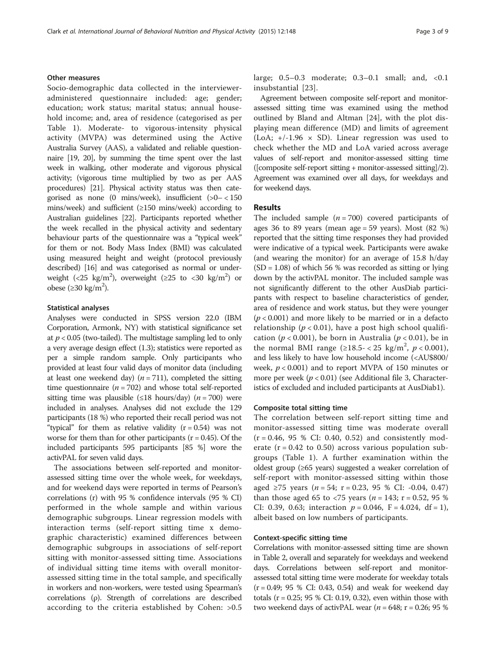#### Other measures

Socio-demographic data collected in the intervieweradministered questionnaire included: age; gender; education; work status; marital status; annual household income; and, area of residence (categorised as per Table [1](#page-3-0)). Moderate- to vigorous-intensity physical activity (MVPA) was determined using the Active Australia Survey (AAS), a validated and reliable questionnaire [[19](#page-8-0), [20](#page-8-0)], by summing the time spent over the last week in walking, other moderate and vigorous physical activity; (vigorous time multiplied by two as per AAS procedures) [\[21\]](#page-8-0). Physical activity status was then categorised as none  $(0 \text{ mins/week})$ , insufficient  $(0)$  = < 150 mins/week) and sufficient (≥150 mins/week) according to Australian guidelines [\[22\]](#page-8-0). Participants reported whether the week recalled in the physical activity and sedentary behaviour parts of the questionnaire was a "typical week" for them or not. Body Mass Index (BMI) was calculated using measured height and weight (protocol previously described) [\[16](#page-8-0)] and was categorised as normal or underweight (<25 kg/m<sup>2</sup>), overweight ( $\geq$ 25 to <30 kg/m<sup>2</sup>) or obese (≥30 kg/m<sup>2</sup>).

#### Statistical analyses

Analyses were conducted in SPSS version 22.0 (IBM Corporation, Armonk, NY) with statistical significance set at  $p < 0.05$  (two-tailed). The multistage sampling led to only a very average design effect (1.3); statistics were reported as per a simple random sample. Only participants who provided at least four valid days of monitor data (including at least one weekend day)  $(n = 711)$ , completed the sitting time questionnaire ( $n = 702$ ) and whose total self-reported sitting time was plausible (≤18 hours/day) ( $n = 700$ ) were included in analyses. Analyses did not exclude the 129 participants (18 %) who reported their recall period was not "typical" for them as relative validity  $(r = 0.54)$  was not worse for them than for other participants ( $r = 0.45$ ). Of the included participants 595 participants [85 %] wore the activPAL for seven valid days.

The associations between self-reported and monitorassessed sitting time over the whole week, for weekdays, and for weekend days were reported in terms of Pearson's correlations (r) with 95 % confidence intervals (95 % CI) performed in the whole sample and within various demographic subgroups. Linear regression models with interaction terms (self-report sitting time x demographic characteristic) examined differences between demographic subgroups in associations of self-report sitting with monitor-assessed sitting time. Associations of individual sitting time items with overall monitorassessed sitting time in the total sample, and specifically in workers and non-workers, were tested using Spearman's correlations (ρ). Strength of correlations are described according to the criteria established by Cohen: >0.5 large; 0.5–0.3 moderate; 0.3–0.1 small; and, <0.1 insubstantial [[23](#page-8-0)].

Agreement between composite self-report and monitorassessed sitting time was examined using the method outlined by Bland and Altman [\[24](#page-8-0)], with the plot displaying mean difference (MD) and limits of agreement (LoA;  $+/-1.96 \times SD$ ). Linear regression was used to check whether the MD and LoA varied across average values of self-report and monitor-assessed sitting time ([composite self-report sitting + monitor-assessed sitting]/2). Agreement was examined over all days, for weekdays and for weekend days.

#### Results

The included sample  $(n = 700)$  covered participants of ages 36 to 89 years (mean age =  $59$  years). Most  $(82 \%)$ reported that the sitting time responses they had provided were indicative of a typical week. Participants were awake (and wearing the monitor) for an average of 15.8 h/day  $(SD = 1.08)$  of which 56 % was recorded as sitting or lying down by the activPAL monitor. The included sample was not significantly different to the other AusDiab participants with respect to baseline characteristics of gender, area of residence and work status, but they were younger  $(p < 0.001)$  and more likely to be married or in a defacto relationship ( $p < 0.01$ ), have a post high school qualification ( $p < 0.001$ ), be born in Australia ( $p < 0.01$ ), be in the normal BMI range  $(\geq 18.5 - < 25 \text{ kg/m}^2, p < 0.001)$ , and less likely to have low household income (<AU\$800/ week,  $p < 0.001$ ) and to report MVPA of 150 minutes or more per week  $(p < 0.01)$  (see Additional file [3,](#page-7-0) Characteristics of excluded and included participants at AusDiab1).

#### Composite total sitting time

The correlation between self-report sitting time and monitor-assessed sitting time was moderate overall  $(r = 0.46, 95 \% \text{ CI: } 0.40, 0.52)$  and consistently moderate ( $r = 0.42$  to 0.50) across various population subgroups (Table [1](#page-3-0)). A further examination within the oldest group (≥65 years) suggested a weaker correlation of self-report with monitor-assessed sitting within those aged ≥75 years (*n* = 54; r = 0.23, 95 % CI: -0.04, 0.47) than those aged 65 to <75 years ( $n = 143$ ;  $r = 0.52$ , 95 % CI: 0.39, 0.63; interaction  $p = 0.046$ , F = 4.024, df = 1), albeit based on low numbers of participants.

#### Context-specific sitting time

Correlations with monitor-assessed sitting time are shown in Table [2](#page-4-0), overall and separately for weekdays and weekend days. Correlations between self-report and monitorassessed total sitting time were moderate for weekday totals  $(r = 0.49; 95 \% \text{ CI: } 0.43, 0.54)$  and weak for weekend day totals ( $r = 0.25$ ; 95 % CI: 0.19, 0.32), even within those with two weekend days of activPAL wear ( $n = 648$ ;  $r = 0.26$ ; 95 %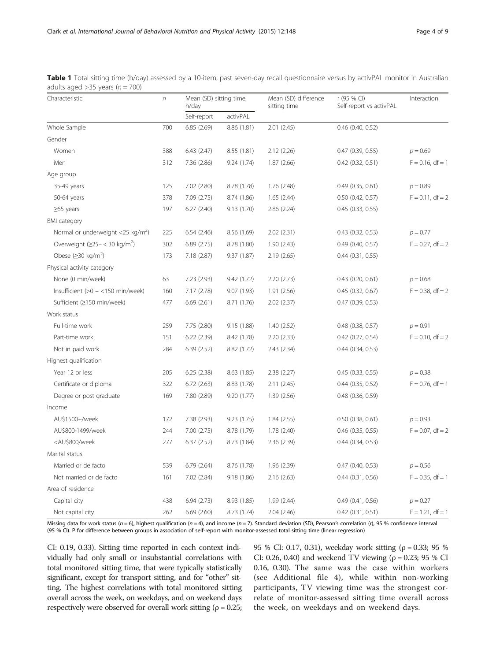| Characteristic                                                                                                                                                        | $\sqrt{n}$ | Mean (SD) sitting time,<br>h/day |             | Mean (SD) difference<br>sitting time | r (95 % CI)<br>Self-report vs activPAL | Interaction         |
|-----------------------------------------------------------------------------------------------------------------------------------------------------------------------|------------|----------------------------------|-------------|--------------------------------------|----------------------------------------|---------------------|
|                                                                                                                                                                       |            | Self-report                      | activPAL    |                                      |                                        |                     |
| Whole Sample                                                                                                                                                          | 700        | 6.85(2.69)                       | 8.86 (1.81) | 2.01(2.45)                           | $0.46$ (0.40, 0.52)                    |                     |
| Gender                                                                                                                                                                |            |                                  |             |                                      |                                        |                     |
| Women                                                                                                                                                                 | 388        | 6.43(2.47)                       | 8.55 (1.81) | 2.12(2.26)                           | $0.47$ $(0.39, 0.55)$                  | $p = 0.69$          |
| Men                                                                                                                                                                   | 312        | 7.36 (2.86)                      | 9.24 (1.74) | 1.87(2.66)                           | $0.42$ $(0.32, 0.51)$                  | $F = 0.16$ , df = 1 |
| Age group                                                                                                                                                             |            |                                  |             |                                      |                                        |                     |
| 35-49 years                                                                                                                                                           | 125        | 7.02 (2.80)                      | 8.78 (1.78) | 1.76(2.48)                           | 0.49(0.35, 0.61)                       | $p = 0.89$          |
| 50-64 years                                                                                                                                                           | 378        | 7.09 (2.75)                      | 8.74 (1.86) | 1.65(2.44)                           | $0.50$ $(0.42, 0.57)$                  | $F = 0.11$ , df = 2 |
| $\geq$ 65 years                                                                                                                                                       | 197        | 6.27(2.40)                       | 9.13(1.70)  | 2.86(2.24)                           | 0.45(0.33, 0.55)                       |                     |
| <b>BMI</b> category                                                                                                                                                   |            |                                  |             |                                      |                                        |                     |
| Normal or underweight <25 kg/m <sup>2</sup> )                                                                                                                         | 225        | 6.54(2.46)                       | 8.56 (1.69) | 2.02(2.31)                           | $0.43$ $(0.32, 0.53)$                  | $p = 0.77$          |
| Overweight $(≥25- < 30$ kg/m <sup>2</sup> )                                                                                                                           | 302        | 6.89(2.75)                       | 8.78 (1.80) | 1.90(2.43)                           | $0.49$ (0.40, 0.57)                    | $F = 0.27$ , df = 2 |
| Obese $(230 \text{ kg/m}^2)$                                                                                                                                          | 173        | 7.18(2.87)                       | 9.37(1.87)  | 2.19(2.65)                           | $0.44$ $(0.31, 0.55)$                  |                     |
| Physical activity category                                                                                                                                            |            |                                  |             |                                      |                                        |                     |
| None (0 min/week)                                                                                                                                                     | 63         | 7.23 (2.93)                      | 9.42 (1.72) | 2.20(2.73)                           | $0.43$ $(0.20, 0.61)$                  | $p = 0.68$          |
| Insufficient $(>0 - < 150$ min/week)                                                                                                                                  | 160        | 7.17 (2.78)                      | 9.07 (1.93) | 1.91(2.56)                           | 0.45(0.32, 0.67)                       | $F = 0.38$ , df = 2 |
| Sufficient (≥150 min/week)                                                                                                                                            | 477        | 6.69(2.61)                       | 8.71 (1.76) | 2.02(2.37)                           | $0.47$ $(0.39, 0.53)$                  |                     |
| Work status                                                                                                                                                           |            |                                  |             |                                      |                                        |                     |
| Full-time work                                                                                                                                                        | 259        | 7.75 (2.80)                      | 9.15(1.88)  | 1.40(2.52)                           | $0.48$ (0.38, 0.57)                    | $p = 0.91$          |
| Part-time work                                                                                                                                                        | 151        | 6.22(2.39)                       | 8.42 (1.78) | 2.20(2.33)                           | $0.42$ (0.27, 0.54)                    | $F = 0.10$ , df = 2 |
| Not in paid work                                                                                                                                                      | 284        | 6.39(2.52)                       | 8.82 (1.72) | 2.43 (2.34)                          | $0.44$ $(0.34, 0.53)$                  |                     |
| Highest qualification                                                                                                                                                 |            |                                  |             |                                      |                                        |                     |
| Year 12 or less                                                                                                                                                       | 205        | 6.25(2.38)                       | 8.63(1.85)  | 2.38(2.27)                           | 0.45(0.33, 0.55)                       | $p = 0.38$          |
| Certificate or diploma                                                                                                                                                | 322        | 6.72(2.63)                       | 8.83 (1.78) | 2.11(2.45)                           | $0.44$ $(0.35, 0.52)$                  | $F = 0.76$ , df = 1 |
| Degree or post graduate                                                                                                                                               | 169        | 7.80 (2.89)                      | 9.20 (1.77) | 1.39(2.56)                           | $0.48$ $(0.36, 0.59)$                  |                     |
| Income                                                                                                                                                                |            |                                  |             |                                      |                                        |                     |
| AU\$1500+/week                                                                                                                                                        | 172        | 7.38 (2.93)                      | 9.23(1.75)  | 1.84(2.55)                           | $0.50$ (0.38, 0.61)                    | $p = 0.93$          |
| AU\$800-1499/week                                                                                                                                                     | 244        | 7.00(2.75)                       | 8.78 (1.79) | 1.78(2.40)                           | $0.46$ (0.35, 0.55)                    | $F = 0.07$ , df = 2 |
| <au\$800 td="" week<=""><td>277</td><td>6.37(2.52)</td><td>8.73 (1.84)</td><td>2.36(2.39)</td><td><math>0.44</math> <math>(0.34, 0.53)</math></td><td></td></au\$800> | 277        | 6.37(2.52)                       | 8.73 (1.84) | 2.36(2.39)                           | $0.44$ $(0.34, 0.53)$                  |                     |
| Marital status                                                                                                                                                        |            |                                  |             |                                      |                                        |                     |
| Married or de facto                                                                                                                                                   | 539        | 6.79(2.64)                       | 8.76 (1.78) | 1.96 (2.39)                          | $0.47$ (0.40, 0.53)                    | $p = 0.56$          |
| Not married or de facto                                                                                                                                               | 161        | 7.02 (2.84)                      | 9.18 (1.86) | 2.16(2.63)                           | $0.44$ $(0.31, 0.56)$                  | $F = 0.35$ , df = 1 |
| Area of residence                                                                                                                                                     |            |                                  |             |                                      |                                        |                     |
| Capital city                                                                                                                                                          | 438        | 6.94(2.73)                       | 8.93 (1.85) | 1.99(2.44)                           | 0.49(0.41, 0.56)                       | $p = 0.27$          |
| Not capital city                                                                                                                                                      | 262        | 6.69(2.60)                       | 8.73 (1.74) | 2.04(2.46)                           | $0.42$ $(0.31, 0.51)$                  | $F = 1.21$ , df = 1 |

<span id="page-3-0"></span>Table 1 Total sitting time (h/day) assessed by a 10-item, past seven-day recall questionnaire versus by activPAL monitor in Australian adults aged  $>35$  years ( $n = 700$ )

Missing data for work status (n = 6), highest qualification (n = 4), and income (n = 7). Standard deviation (SD), Pearson's correlation (r), 95 % confidence interval (95 % CI). P for difference between groups in association of self-report with monitor-assessed total sitting time (linear regression)

CI: 0.19, 0.33). Sitting time reported in each context individually had only small or insubstantial correlations with total monitored sitting time, that were typically statistically significant, except for transport sitting, and for "other" sitting. The highest correlations with total monitored sitting overall across the week, on weekdays, and on weekend days respectively were observed for overall work sitting ( $\rho = 0.25$ ;

95 % CI: 0.17, 0.31), weekday work sitting (ρ = 0.33; 95 % CI: 0.26, 0.40) and weekend TV viewing ( $\rho = 0.23$ ; 95 % CI 0.16, 0.30). The same was the case within workers (see Additional file [4\)](#page-7-0), while within non-working participants, TV viewing time was the strongest correlate of monitor-assessed sitting time overall across the week, on weekdays and on weekend days.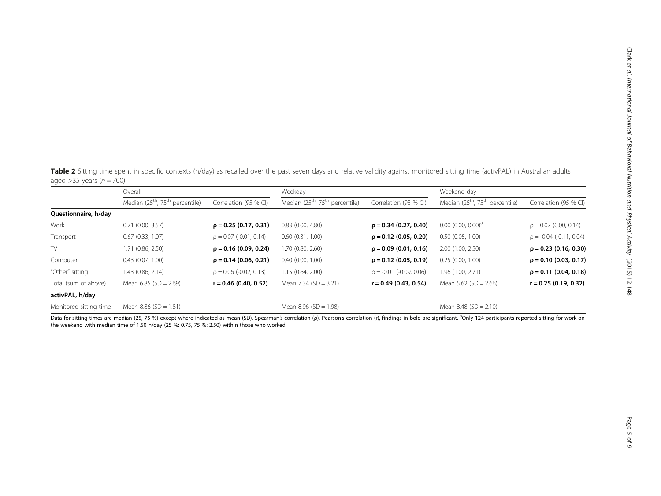<span id="page-4-0"></span>Table 2 Sitting time spent in specific contexts (h/day) as recalled over the past seven days and relative validity against monitored sitting time (activPAL) in Australian adults aged >35 years ( $n = 700$ )

|                        | Overall                                                 |                             | Weekday                                                 |                              | Weekend day                                             |                            |
|------------------------|---------------------------------------------------------|-----------------------------|---------------------------------------------------------|------------------------------|---------------------------------------------------------|----------------------------|
|                        | Median (25 <sup>th</sup> , 75 <sup>th</sup> percentile) | Correlation (95 % CI)       | Median (25 <sup>th</sup> , 75 <sup>th</sup> percentile) | Correlation (95 % CI)        | Median (25 <sup>th</sup> , 75 <sup>th</sup> percentile) | Correlation (95 % CI)      |
| Questionnaire, h/day   |                                                         |                             |                                                         |                              |                                                         |                            |
| Work                   | $0.71$ (0.00, 3.57)                                     | $\rho = 0.25$ (0.17, 0.31)  | $0.83$ $(0.00, 4.80)$                                   | $\rho = 0.34$ (0.27, 0.40)   | $0.00$ (0.00, 0.00) <sup>a</sup>                        | $\rho = 0.07$ (0.00, 0.14) |
| Transport              | $0.67$ $(0.33, 1.07)$                                   | $\rho = 0.07$ (-0.01, 0.14) | 0.60(0.31, 1.00)                                        | $\rho = 0.12$ (0.05, 0.20)   | 0.50(0.05, 1.00)                                        | $p = -0.04$ (-0.11, 0.04)  |
| TV                     | 1.71 (0.86, 2.50)                                       | $\rho = 0.16$ (0.09, 0.24)  | 1.70 (0.80, 2.60)                                       | $\rho = 0.09$ (0.01, 0.16)   | 2.00(1.00, 2.50)                                        | $\rho = 0.23$ (0.16, 0.30) |
| Computer               | 0.43(0.07, 1.00)                                        | $\rho = 0.14$ (0.06, 0.21)  | $0.40$ $(0.00, 1.00)$                                   | $\rho = 0.12$ (0.05, 0.19)   | 0.25(0.00, 1.00)                                        | $\rho = 0.10$ (0.03, 0.17) |
| "Other" sitting        | 1.43 (0.86, 2.14)                                       | $\rho = 0.06$ (-0.02, 0.13) | 1.15 (0.64, 2.00)                                       | $\rho = -0.01$ (-0.09, 0.06) | 1.96 (1.00, 2.71)                                       | $\rho = 0.11$ (0.04, 0.18) |
| Total (sum of above)   | Mean $6.85$ (SD = 2.69)                                 | $r = 0.46$ (0.40, 0.52)     | Mean $7.34$ (SD = 3.21)                                 | $r = 0.49$ (0.43, 0.54)      | Mean $5.62$ (SD = 2.66)                                 | $r = 0.25(0.19, 0.32)$     |
| activPAL, h/day        |                                                         |                             |                                                         |                              |                                                         |                            |
| Monitored sitting time | Mean $8.86$ (SD = 1.81)                                 | $\overline{\phantom{a}}$    | Mean $8.96$ (SD = 1.98)                                 |                              | Mean $8.48$ (SD = 2.10)                                 |                            |

Data for sitting times are median (25, 75 %) except where indicated as mean (SD). Spearman's correlation (ρ), Pearson's correlation (r), findings in bold are significant. <sup>a</sup>Only 124 participants reported sitting for work the weekend with median time of 1.50 h/day (25 %: 0.75, 75 %: 2.50) within those who worked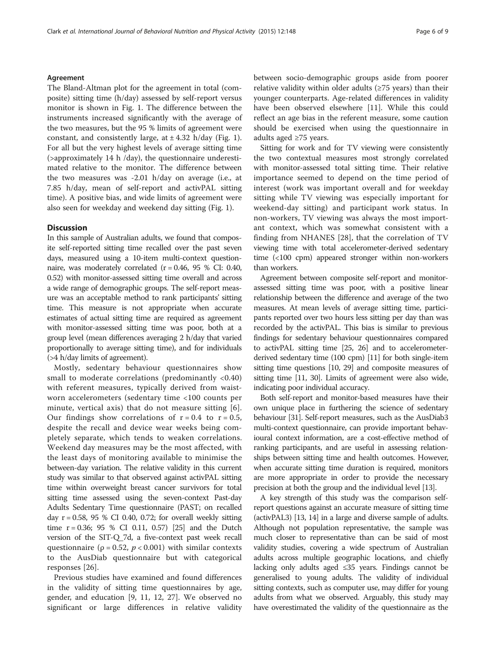#### Agreement

The Bland-Altman plot for the agreement in total (composite) sitting time (h/day) assessed by self-report versus monitor is shown in Fig. [1.](#page-6-0) The difference between the instruments increased significantly with the average of the two measures, but the 95 % limits of agreement were constant, and consistently large, at  $\pm$  4.32 h/day (Fig. [1](#page-6-0)). For all but the very highest levels of average sitting time (>approximately 14 h /day), the questionnaire underestimated relative to the monitor. The difference between the two measures was -2.01 h/day on average (i.e., at 7.85 h/day, mean of self-report and activPAL sitting time). A positive bias, and wide limits of agreement were also seen for weekday and weekend day sitting (Fig. [1\)](#page-6-0).

#### **Discussion**

In this sample of Australian adults, we found that composite self-reported sitting time recalled over the past seven days, measured using a 10-item multi-context questionnaire, was moderately correlated  $(r = 0.46, 95 %$  CI: 0.40, 0.52) with monitor-assessed sitting time overall and across a wide range of demographic groups. The self-report measure was an acceptable method to rank participants' sitting time. This measure is not appropriate when accurate estimates of actual sitting time are required as agreement with monitor-assessed sitting time was poor, both at a group level (mean differences averaging 2 h/day that varied proportionally to average sitting time), and for individuals (>4 h/day limits of agreement).

Mostly, sedentary behaviour questionnaires show small to moderate correlations (predominantly <0.40) with referent measures, typically derived from waistworn accelerometers (sedentary time <100 counts per minute, vertical axis) that do not measure sitting [[6\]](#page-8-0). Our findings show correlations of  $r = 0.4$  to  $r = 0.5$ , despite the recall and device wear weeks being completely separate, which tends to weaken correlations. Weekend day measures may be the most affected, with the least days of monitoring available to minimise the between-day variation. The relative validity in this current study was similar to that observed against activPAL sitting time within overweight breast cancer survivors for total sitting time assessed using the seven-context Past-day Adults Sedentary Time questionnaire (PAST; on recalled day  $r = 0.58$ , 95 % CI 0.40, 0.72; for overall weekly sitting time  $r = 0.36$ ; 95 % CI 0.11, 0.57) [\[25](#page-8-0)] and the Dutch version of the SIT-Q\_7d, a five-context past week recall questionnaire ( $\rho = 0.52$ ,  $p < 0.001$ ) with similar contexts to the AusDiab questionnaire but with categorical responses [\[26](#page-8-0)].

Previous studies have examined and found differences in the validity of sitting time questionnaires by age, gender, and education [\[9, 11](#page-8-0), [12, 27\]](#page-8-0). We observed no significant or large differences in relative validity between socio-demographic groups aside from poorer relative validity within older adults (≥75 years) than their younger counterparts. Age-related differences in validity have been observed elsewhere [\[11](#page-8-0)]. While this could reflect an age bias in the referent measure, some caution should be exercised when using the questionnaire in adults aged ≥75 years.

Sitting for work and for TV viewing were consistently the two contextual measures most strongly correlated with monitor-assessed total sitting time. Their relative importance seemed to depend on the time period of interest (work was important overall and for weekday sitting while TV viewing was especially important for weekend-day sitting) and participant work status. In non-workers, TV viewing was always the most important context, which was somewhat consistent with a finding from NHANES [[28\]](#page-8-0), that the correlation of TV viewing time with total accelerometer-derived sedentary time (<100 cpm) appeared stronger within non-workers than workers.

Agreement between composite self-report and monitorassessed sitting time was poor, with a positive linear relationship between the difference and average of the two measures. At mean levels of average sitting time, participants reported over two hours less sitting per day than was recorded by the activPAL. This bias is similar to previous findings for sedentary behaviour questionnaires compared to activPAL sitting time [\[25, 26](#page-8-0)] and to accelerometerderived sedentary time (100 cpm) [\[11\]](#page-8-0) for both single-item sitting time questions [\[10, 29\]](#page-8-0) and composite measures of sitting time [\[11, 30](#page-8-0)]. Limits of agreement were also wide, indicating poor individual accuracy.

Both self-report and monitor-based measures have their own unique place in furthering the science of sedentary behaviour [\[31\]](#page-8-0). Self-report measures, such as the AusDiab3 multi-context questionnaire, can provide important behavioural context information, are a cost-effective method of ranking participants, and are useful in assessing relationships between sitting time and health outcomes. However, when accurate sitting time duration is required, monitors are more appropriate in order to provide the necessary precision at both the group and the individual level [\[13\]](#page-8-0).

A key strength of this study was the comparison selfreport questions against an accurate measure of sitting time (activPAL3) [\[13, 14\]](#page-8-0) in a large and diverse sample of adults. Although not population representative, the sample was much closer to representative than can be said of most validity studies, covering a wide spectrum of Australian adults across multiple geographic locations, and chiefly lacking only adults aged ≤35 years. Findings cannot be generalised to young adults. The validity of individual sitting contexts, such as computer use, may differ for young adults from what we observed. Arguably, this study may have overestimated the validity of the questionnaire as the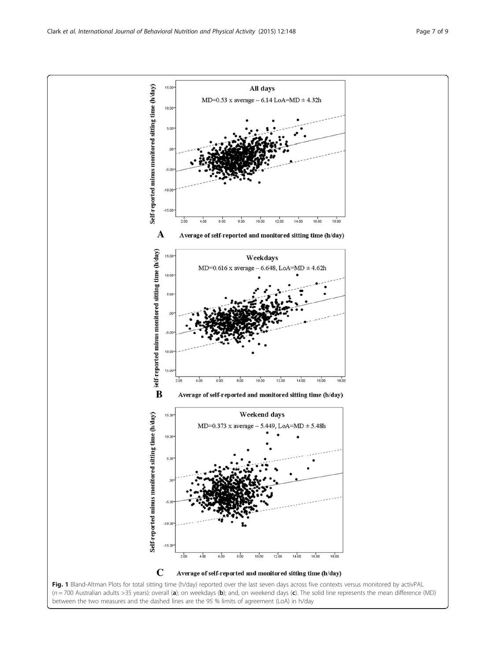<span id="page-6-0"></span>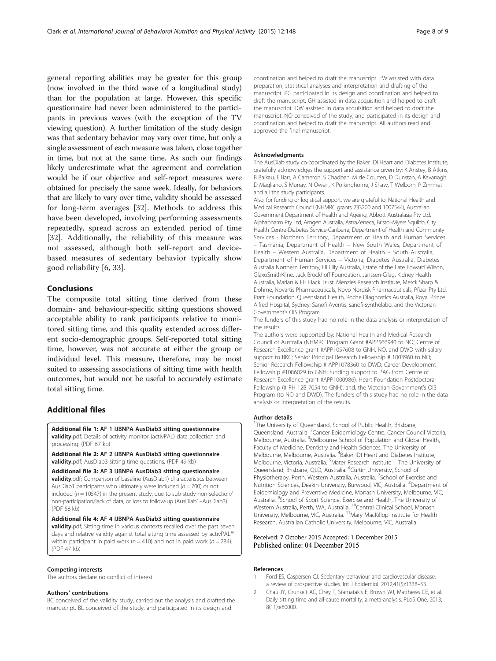<span id="page-7-0"></span>general reporting abilities may be greater for this group (now involved in the third wave of a longitudinal study) than for the population at large. However, this specific questionnaire had never been administered to the participants in previous waves (with the exception of the TV viewing question). A further limitation of the study design was that sedentary behavior may vary over time, but only a single assessment of each measure was taken, close together in time, but not at the same time. As such our findings likely underestimate what the agreement and correlation would be if our objective and self-report measures were obtained for precisely the same week. Ideally, for behaviors that are likely to vary over time, validity should be assessed for long-term averages [[32](#page-8-0)]. Methods to address this have been developed, involving performing assessments repeatedly, spread across an extended period of time [[32\]](#page-8-0). Additionally, the reliability of this measure was not assessed, although both self-report and devicebased measures of sedentary behavior typically show good reliability [\[6](#page-8-0), [33](#page-8-0)].

#### Conclusions

The composite total sitting time derived from these domain- and behaviour-specific sitting questions showed acceptable ability to rank participants relative to monitored sitting time, and this quality extended across different socio-demographic groups. Self-reported total sitting time, however, was not accurate at either the group or individual level. This measure, therefore, may be most suited to assessing associations of sitting time with health outcomes, but would not be useful to accurately estimate total sitting time.

#### Additional files

[Additional file 1:](dx.doi.org/10.1186/s12966-015-0309-y) AF 1 IJBNPA AusDiab3 sitting questionnaire validity.pdf; Details of activity monitor (activPAL) data collection and processing. (PDF 67 kb)

[Additional file 2:](dx.doi.org/10.1186/s12966-015-0309-y) AF 2 IJBNPA AusDiab3 sitting questionnaire validity.pdf; AusDiab3 sitting time questions. (PDF 49 kb)

[Additional file 3:](dx.doi.org/10.1186/s12966-015-0309-y) AF 3 IJBNPA AusDiab3 sitting questionnaire **validity.**pdf; Comparison of baseline (AusDiab1) characteristics between AusDiab1 participants who ultimately were included ( $n = 700$ ) or not included ( $n = 10547$ ) in the present study, due to sub-study non-selection/ non-participation/lack of data, or loss to follow-up (AusDiab1–AusDiab3). (PDF 58 kb)

[Additional file 4:](dx.doi.org/10.1186/s12966-015-0309-y) AF 4 IJBNPA AusDiab3 sitting questionnaire validity.pdf; Sitting time in various contexts recalled over the past seven days and relative validity against total sitting time assessed by activPAL™ within participant in paid work ( $n = 410$ ) and not in paid work ( $n = 284$ ). (PDF 47 kb)

#### Competing interests

The authors declare no conflict of interest.

#### Authors' contributions

BC conceived of the validity study, carried out the analysis and drafted the manuscript. BL conceived of the study, and participated in its design and

coordination and helped to draft the manuscript. EW assisted with data preparation, statistical analyses and interpretation and drafting of the manuscript. PG participated in its design and coordination and helped to draft the manuscript. GH assisted in data acquisition and helped to draft the manuscript. DW assisted in data acquisition and helped to draft the manuscript. NO conceived of the study, and participated in its design and coordination and helped to draft the manuscript. All authors read and approved the final manuscript.

#### Acknowledgments

The AusDiab study co-coordinated by the Baker IDI Heart and Diabetes Institute, gratefully acknowledges the support and assistance given by: K Anstey, B Atkins, B Balkau, E Barr, A Cameron, S Chadban, M de Courten, D Dunstan, A Kavanagh, D Magliano, S Murray, N Owen, K Polkinghorne, J Shaw, T Welborn, P Zimmet and all the study participants.

Also, for funding or logistical support, we are grateful to: National Health and Medical Research Council (NHMRC grants 233200 and 1007544), Australian Government Department of Health and Ageing, Abbott Australasia Pty Ltd, Alphapharm Pty Ltd, Amgen Australia, AstraZeneca, Bristol-Myers Squibb, City Health Centre-Diabetes Service-Canberra, Department of Health and Community Services - Northern Territory, Department of Health and Human Services – Tasmania, Department of Health – New South Wales, Department of Health – Western Australia, Department of Health – South Australia, Department of Human Services – Victoria, Diabetes Australia, Diabetes Australia Northern Territory, Eli Lilly Australia, Estate of the Late Edward Wilson, GlaxoSmithKline, Jack Brockhoff Foundation, Janssen-Cilag, Kidney Health Australia, Marian & FH Flack Trust, Menzies Research Institute, Merck Sharp & Dohme, Novartis Pharmaceuticals, Novo Nordisk Pharmaceuticals, Pfizer Pty Ltd, Pratt Foundation, Queensland Health, Roche Diagnostics Australia, Royal Prince Alfred Hospital, Sydney, Sanofi Aventis, sanofi-synthelabo, and the Victorian Government's OIS Program.

The funders of this study had no role in the data analysis or interpretation of the results.

The authors were supported by: National Health and Medical Research Council of Australia (NHMRC Program Grant #APP566940 to NO; Centre of Research Excellence grant #APP1057608 to GNH, NO, and DWD with salary support to BKC; Senior Principal Research Fellowship # 1003960 to NO; Senior Research Fellowship # APP1078360 to DWD; Career Development Fellowship #1086029 to GNH; funding support to PAG from Centre of Research Excellence grant #APP1000986); Heart Foundation Postdoctoral Fellowship (# PH 12B 7054 to GNH); and, the Victorian Government's OIS Program (to NO and DWD). The funders of this study had no role in the data analysis or interpretation of the results.

#### Author details

<sup>1</sup>The University of Queensland, School of Public Health, Brisbane Queensland, Australia. <sup>2</sup> Cancer Epidemiology Centre, Cancer Council Victoria Melbourne, Australia. <sup>3</sup>Melbourne School of Population and Global Health, Faculty of Medicine, Dentistry and Health Sciences, The University of Melbourne, Melbourne, Australia. <sup>4</sup> Baker IDI Heart and Diabetes Institute, Melbourne, Victoria, Australia. <sup>5</sup>Mater Research Institute - The University of Queensland, Brisbane, QLD, Australia. <sup>6</sup>Curtin University, School of Physiotherapy, Perth, Western Australia, Australia. <sup>7</sup>School of Exercise and Nutrition Sciences, Deakin University, Burwood, VIC, Australia. <sup>8</sup>Department of Epidemiology and Preventive Medicine, Monash University, Melbourne, VIC, Australia. <sup>9</sup> School of Sport Science, Exercise and Health, The University of Western Australia, Perth, WA, Australia. <sup>10</sup>Central Clinical School, Monash University, Melbourne, VIC, Australia. <sup>11</sup>Mary MacKillop Institute for Health Research, Australian Catholic University, Melbourne, VIC, Australia.

#### Received: 7 October 2015 Accepted: 1 December 2015 Published online: 04 December 2015

#### References

- 1. Ford ES, Caspersen CJ. Sedentary behaviour and cardiovascular disease: a review of prospective studies. Int J Epidemiol. 2012;41(5):1338–53.
- 2. Chau JY, Grunseit AC, Chey T, Stamatakis E, Brown WJ, Matthews CE, et al. Daily sitting time and all-cause mortality: a meta-analysis. PLoS One. 2013; 8(11):e80000.